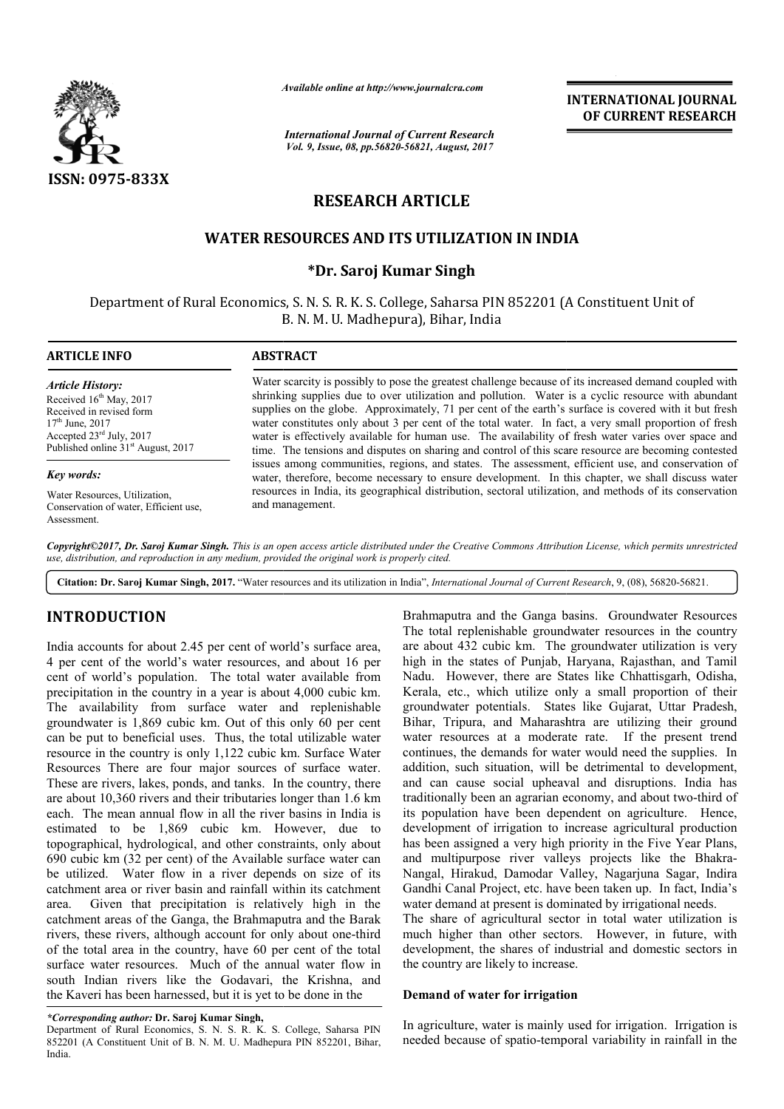

*Available online at http://www.journal http://www.journalcra.com*

*International Journal of Current Research Vol. 9, Issue, 08, pp.56820-56821, August, 2017*

**INTERNATIONAL JOURNAL OF CURRENT RESEARCH** 

# **RESEARCH ARTICLE**

## **WATER RESOURCES AND ITS UTILIZATION IN INDIA**

## **\*Dr. Saroj Kumar Singh**

Department of Rural Economics, S. N. S. R. K. S. College, Saharsa PIN 852201 (A Constituent Unit of B. N. M. U. Madhepura), Bihar, India

*Article History:* Received  $16<sup>th</sup>$  May, 2017 Received in revised form 17<sup>th</sup> June, 2017 Accepted 23rd July, 2017 Published online  $31<sup>st</sup>$  August, 2017

#### *Key words:*

Water Resources, Utilization, Conservation of water, Efficient use, **Assessment** 

#### **ARTICLE INFO ABSTRACT**

Water scarcity is possibly to pose the greatest challenge because of its increased demand coupled with shrinking supplies due to over utilization and pollution. Water is a cyclic resource with abundant supplies on the globe. Approximately, 71 per cent of the earth's surface is covered with it but fresh water constitutes only about 3 per cent of the total water. In fact, a very small proportion of fresh water is effectively available for human use. The availability of fresh water varies over space and time. The tensions and disputes on sharing and control of this scare resource are becoming contested issues among communities, regions, and states. The assessment, efficient use, and conservation of water, therefore, become necessary to ensure development. In this chapter, we shall discuss water resources in India, its geographical distribution, sectoral utilization, and methods of its conservation and management. Water scarcity is possibly to pose the greatest challenge because of its increased demand coupled with shrinking supplies due to over utilization and pollution. Water is a cyclic resource with abundant supplies on the glob

*Copyright©2017, Dr. Saroj Kumar Singh. This is an open access article distributed under the Creative Commons Att Attribution License, which ribution permits unrestricted use, distribution, and reproduction in any medium, provided the original work is properly cited.*

Citation: Dr. Saroj Kumar Singh, 2017. "Water resources and its utilization in India", *International Journal of Current Research*, 9, (08), 56820-56821.

## **INTRODUCTION**

India accounts for about 2.45 per cent of world's surface area, 4 per cent of the world's water resources, and about 16 per cent of world's population. The total water available from precipitation in the country in a year is about 4,000 cubic km. The availability from surface water and replenishable groundwater is 1,869 cubic km. Out of this only 60 per cent can be put to beneficial uses. Thus, the total utilizable water resource in the country is only 1,122 cubic km. Surface Water Resources There are four major sources of surface water. These are rivers, lakes, ponds, and tanks. In the country, there are about 10,360 rivers and their tributaries longer than 1.6 km each. The mean annual flow in all the river basins in India is estimated to be 1,869 cubic km. However, due to topographical, hydrological, and other constraints, only about 690 cubic km (32 per cent) of the Available surface water can be utilized. Water flow in a river depends on size of its catchment area or river basin and rainfall within its catchment area. Given that precipitation is relatively high in the catchment areas of the Ganga, the Brahmaputra and the Barak rivers, these rivers, although account for only about one-third of the total area in the country, have 60 per cent of the total surface water resources. Much of the annual water flow in south Indian rivers like the Godavari, the Krishna, and the Kaveri has been harnessed, but it is yet to be done in the

*\*Corresponding author:* **Dr. Saroj Kumar Singh,** 

Department of Rural Economics, S. N. S. R. K. S. College, Saharsa PIN 852201 (A Constituent Unit of B. N. M. U. Madhepura PIN 852201, Bihar, India.

Brahmaputra and the Ganga basins. Groundwater Resources The total replenishable groundwater resources in the country are about 432 cubic km. The groundwater utilization is very high in the states of Punjab, Haryana, Rajasthan, and Tamil Nadu. However, there are States like Chhattisgarh, Odisha, Kerala, etc., which utilize only a small proportion of their groundwater potentials. States like Gujarat, Uttar Pradesh, Bihar, Tripura, and Maharashtra are utilizing their ground water resources at a moderate rate. If the present trend continues, the demands for water would need the supplies. In addition, such situation, will be detrimental to development, and can cause social upheaval and disruptions. traditionally been an agrarian economy, and about two-third of its population have been dependent on agriculture. Hence, development of irrigation to increase agricultural production has been assigned a very high priority in the Five Year Plans, its population have been dependent on agriculture. Hence, development of irrigation to increase agricultural production has been assigned a very high priority in the Five Year Plans, and multipurpose river valleys projects Nangal, Hirakud, Damodar Valley, Nagarjuna Sagar, Indira Gandhi Canal Project, etc. have been taken up. In fact, India's water demand at present is dominated by irrigational needs. putra and the Ganga basins. Groundwater Resources<br>al replenishable groundwater resources in the country<br>ut 432 cubic km. The groundwater utilization is very<br>the states of Punjab, Haryana, Rajasthan, and Tamil<br>However, ther ources at a moderate rate. If the present trend, the demands for water would need the supplies. In such situation, will be detrimental to development, cause social upheaval and disruptions. India has **INTERNATIONAL JOURNAL OF CURRENT RESEARCH**<br> **OF CURRENT RESEARCH**<br> **OF CURRENT RESEARCH**<br> **OF CURRENT RESEARCH**<br> **OCCURRENT RESEARCH**<br> **OCCURRENT RESEARCH**<br> **OCCURRENT RESEARCH**<br> **OCCURRENT RESEARCH**<br> **In fact, a** regular

The share of agricultural sector in total water utilization is much higher than other sectors. However, in future, with development, the shares of industrial and domestic sectors in the country are likely to increase. l, Hirakud, Damodar Valley, Nagarjuna Sagar, Ind<br>i Canal Project, etc. have been taken up. In fact, India<br>lemand at present is dominated by irrigational needs.<br>nare of agricultural sectors in total water utilization<br>higher

#### **Demand of water for irrigation emand of water for**

In agriculture, water is mainly used for irrigation. Irrigation is needed because of spatio-temporal variability in rainfall in the